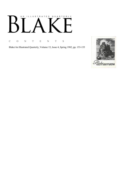# AN ILLUSTRATED QUARTERLY К

C O N T E N T S

Blake/An Illustrated Quarterly, Volume 15, Issue 4, Spring 1982, pp. 153-155

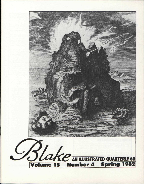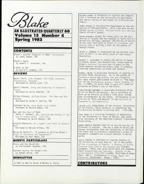

Spring 1982

### CONTENTS

Blake's Jupiter Olympius in Rees' Cuclopaedia by James Bogan, 156

Blake' s Swans by Robert F. Gleckner, 164

A Book to Eat by David V. Erdman, 170

#### REVIEWS

David Irwin, *John Flaxman 1755-1826, Sculptor, Illustrator, Designer*  Reviewed by Janice Lyle, 176

David Simpson, *Irony and Authority in Romantic Poetry* 

Reviewed by Gavin Edwards, 179

Milto n Klonsky, *William Blake: The Seer and His Visions*  Reviewed by Gerda S. Norvig, 184

Kathleen Raine, *From Blake to A Vision*  Reviewed by Hazard Adams, 187

War and the Uses of Myth Betty T. Bennett, ed., *British War Poetry in the Age of Romanticism: 1793-1815*  Reviewed by David Punter, 189

Leopold Damrosch, Jr. , *Symbol and Truth in Blake's Myth*  Reviewed by Nelson Hilton, 192

Margaret Bottrall, "A Lecture on William Blake's *Songs of Innocence and Experience"*  Reviewed by Paul Mann, 197

#### MINUTE PARTICULARS

Blake and the Novelists by Christopher Heppner, 198

Another Source for Blake's Orc by Randel Helms, 198

#### NEWSLETTER

 $©1982$  by Morris Eaves & Morton D. Paley

HAZARD ADAMS is Professor of English and Comparative Literature at the University of Washington and Senior Fellow of the School of Criticism and Theory.

JAMES BOGAN is the Art/Film Department at the University of Missouri-Rolla. With Fred Goss he has edited *Sparks of Fire: William Blake in a New Age* (North Atlantic Books).

GAVIN EDWARDS taught for three years at the University of Sydney and now teaches at Saint David's University College, Lampeter (University of Wales). He has published work on Blake in *Literature and History* and is writing a book on the poetry of George Crabbe.

DAVID V. ERDMAN is investigating the British radicals in Paris in the early years of the French Revolution .

ROBERT F. GLECKNER is author and editor of books on Blake, Byron, and Romanticism; latest book on Blake's *Poetical Sketches* now in press at the Johns Hopkins University Press; book in progress (nearing completion) on Blake and Spenser.

RANDEL HELMS is Associate Professor of English at Arizona State University. He is the author of *Tolkien's World* and *Tolkien and the Silmarils.*  His most recent publication on Blake is "The Genesis of *The Everlasting Gospel*," *Blake Studies*, 9, No. 2 (1980), an essay that is part of a book-inprogress on Blake's use of the Bible.

CHRISTOPHER HEPPNER is Associate Professor of English at McGill University. He is currently at work on an article on Blake's 1795 color prints and illustrations to the Bible. Forthcoming is an article on "Pity and Hecate" in the *Bulletin of Research in the Humanities.* 

JANICE LYLE (Department of Art History, University of California, Santa Barbara) is completing her dissertation on Dante in British Art: 1770-1830.

PAUL MANN is a Visiting Professor of Humanities at the University of Texas at Dallas, and Executive Secretary of the American Literary Translators Association .

GERDA NORVIG teaches English at the University of Colorado in Boulder. She has a book on Blake and Bunyan forthcoming from the University of California Press and is currently completing a piece on aesthetic judgment and elegiac defense in Wordsworth.

DAVID PUNTER is Chairman of English Studies at the University of East Anglia. He is the author Of *The Literature of Terror: A History of Gothic Fictions from 1765 to the Present Day* (London: Longmans, 1980); and (with David Aers and Jonathan Cook) *Romanticism and Ideology: Studies in English Writing 1765-1830* (London: Routledge & Kegan Paul, 1981). Forthcoming is *Blake*, *Hegel and Dialectic* (Amsterdam: Rodopi, 1982).

CONTRIBUTORS